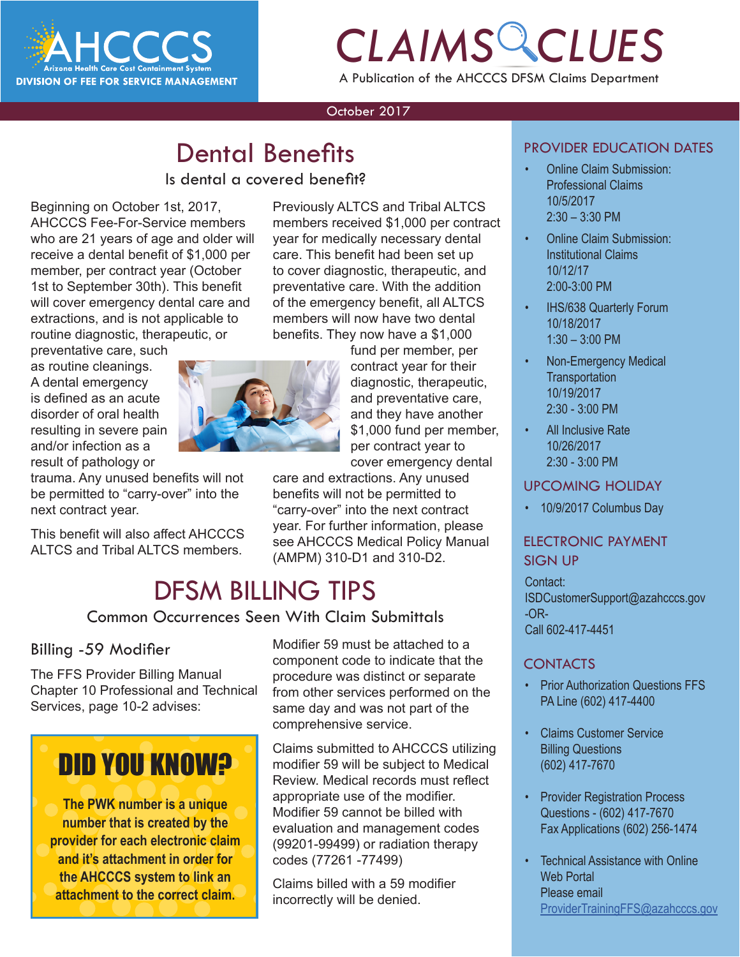

## *CLAIMS CLUES* A Publication of the AHCCCS DFSM Claims Department

#### October 2017

## **Dental Benefits**

#### Is dental a covered benefit?

Beginning on October 1st, 2017, AHCCCS Fee-For-Service members who are 21 years of age and older will receive a dental benefit of \$1,000 per member, per contract year (October 1st to September 30th). This benefit will cover emergency dental care and extractions, and is not applicable to routine diagnostic, therapeutic, or

preventative care, such as routine cleanings. A dental emergency is defined as an acute disorder of oral health resulting in severe pain and/or infection as a result of pathology or

trauma. Any unused benefits will not be permitted to "carry-over" into the next contract year.

This benefit will also affect AHCCCS ALTCS and Tribal ALTCS members.

Previously ALTCS and Tribal ALTCS members received \$1,000 per contract year for medically necessary dental care. This benefit had been set up to cover diagnostic, therapeutic, and preventative care. With the addition of the emergency benefit, all ALTCS members will now have two dental benefits. They now have a \$1,000

> fund per member, per contract year for their diagnostic, therapeutic, and preventative care, and they have another \$1,000 fund per member, per contract year to cover emergency dental

care and extractions. Any unused benefits will not be permitted to "carry-over" into the next contract year. For further information, please see AHCCCS Medical Policy Manual (AMPM) 310-D1 and 310-D2.

### DFSM BILLING TIPS

Common Occurrences Seen With Claim Submittals

#### Billing -59 Modifier

The FFS Provider Billing Manual Chapter 10 Professional and Technical Services, page 10-2 advises:

## DID YOU KNOW?

**The PWK number is a unique number that is created by the provider for each electronic claim and it's attachment in order for the AHCCCS system to link an attachment to the correct claim.**

Modifier 59 must be attached to a component code to indicate that the procedure was distinct or separate from other services performed on the same day and was not part of the comprehensive service.

Claims submitted to AHCCCS utilizing modifier 59 will be subject to Medical Review. Medical records must reflect appropriate use of the modifier. Modifier 59 cannot be billed with evaluation and management codes (99201-99499) or radiation therapy codes (77261 -77499)

Claims billed with a 59 modifier incorrectly will be denied.

#### PROVIDER EDUCATION DATES

- Online Claim Submission: Professional Claims 10/5/2017  $2:30 - 3:30$  PM
- Online Claim Submission: Institutional Claims 10/12/17 2:00-3:00 PM
- IHS/638 Quarterly Forum 10/18/2017 1:30 – 3:00 PM
- Non-Emergency Medical **Transportation** 10/19/2017 2:30 - 3:00 PM
- All Inclusive Rate 10/26/2017 2:30 - 3:00 PM

#### UPCOMING HOLIDAY

• 10/9/2017 Columbus Day

#### ELECTRONIC PAYMENT SIGN UP

#### Contact:

ISDCustomerSupport@azahcccs.gov -OR-Call 602-417-4451

#### CONTACTS

- Prior Authorization Questions FFS PA Line (602) 417-4400
- Claims Customer Service Billing Questions (602) 417-7670
- Provider Registration Process Questions - (602) 417-7670 Fax Applications (602) 256-1474
- Technical Assistance with Online Web Portal Please email [ProviderTrainingFFS@azahcccs.gov](mailto:ProviderTrainingFFS%40azahcccs.gov%20?subject=)